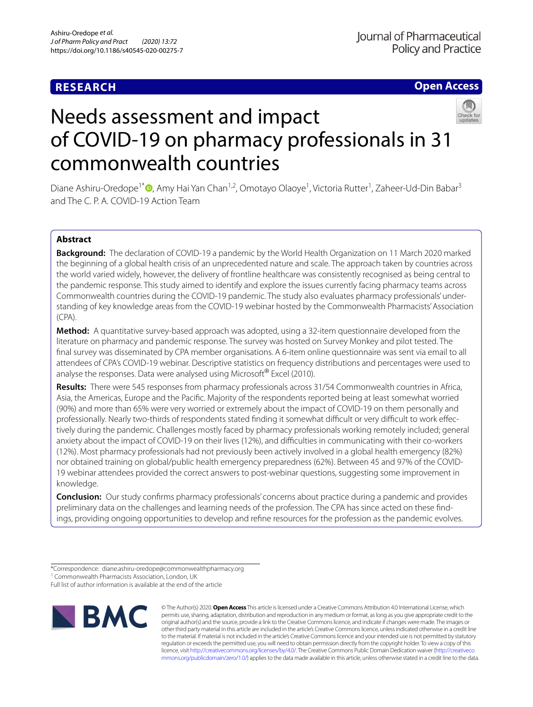# **RESEARCH**

**Open Access**

# Needs assessment and impact of COVID‑19 on pharmacy professionals in 31 commonwealth countries



Diane Ashiru-Oredope<sup>1[\\*](http://orcid.org/0000-0001-9579-2028)</sup>®, Amy Hai Yan Chan<sup>1,2</sup>, Omotayo Olaoye<sup>1</sup>, Victoria Rutter<sup>1</sup>, Zaheer-Ud-Din Babar<sup>3</sup> and The C. P. A. COVID-19 Action Team

# **Abstract**

**Background:** The declaration of COVID-19 a pandemic by the World Health Organization on 11 March 2020 marked the beginning of a global health crisis of an unprecedented nature and scale. The approach taken by countries across the world varied widely, however, the delivery of frontline healthcare was consistently recognised as being central to the pandemic response. This study aimed to identify and explore the issues currently facing pharmacy teams across Commonwealth countries during the COVID-19 pandemic. The study also evaluates pharmacy professionals' under‑ standing of key knowledge areas from the COVID-19 webinar hosted by the Commonwealth Pharmacists' Association (CPA).

**Method:** A quantitative survey-based approach was adopted, using a 32-item questionnaire developed from the literature on pharmacy and pandemic response. The survey was hosted on Survey Monkey and pilot tested. The fnal survey was disseminated by CPA member organisations. A 6-item online questionnaire was sent via email to all attendees of CPA's COVID-19 webinar. Descriptive statistics on frequency distributions and percentages were used to analyse the responses. Data were analysed using Microsoft® Excel (2010).

**Results:** There were 545 responses from pharmacy professionals across 31/54 Commonwealth countries in Africa, Asia, the Americas, Europe and the Pacifc. Majority of the respondents reported being at least somewhat worried (90%) and more than 65% were very worried or extremely about the impact of COVID-19 on them personally and professionally. Nearly two-thirds of respondents stated finding it somewhat difficult or very difficult to work effectively during the pandemic. Challenges mostly faced by pharmacy professionals working remotely included; general anxiety about the impact of COVID-19 on their lives (12%), and difculties in communicating with their co-workers (12%). Most pharmacy professionals had not previously been actively involved in a global health emergency (82%) nor obtained training on global/public health emergency preparedness (62%). Between 45 and 97% of the COVID-19 webinar attendees provided the correct answers to post-webinar questions, suggesting some improvement in knowledge.

**Conclusion:** Our study confrms pharmacy professionals' concerns about practice during a pandemic and provides preliminary data on the challenges and learning needs of the profession. The CPA has since acted on these findings, providing ongoing opportunities to develop and refne resources for the profession as the pandemic evolves.

Full list of author information is available at the end of the article



© The Author(s) 2020. **Open Access** This article is licensed under a Creative Commons Attribution 4.0 International License, which permits use, sharing, adaptation, distribution and reproduction in any medium or format, as long as you give appropriate credit to the original author(s) and the source, provide a link to the Creative Commons licence, and indicate if changes were made. The images or other third party material in this article are included in the article's Creative Commons licence, unless indicated otherwise in a credit line to the material. If material is not included in the article's Creative Commons licence and your intended use is not permitted by statutory regulation or exceeds the permitted use, you will need to obtain permission directly from the copyright holder. To view a copy of this licence, visit [http://creativecommons.org/licenses/by/4.0/.](http://creativecommons.org/licenses/by/4.0/) The Creative Commons Public Domain Dedication waiver ([http://creativeco](http://creativecommons.org/publicdomain/zero/1.0/) [mmons.org/publicdomain/zero/1.0/](http://creativecommons.org/publicdomain/zero/1.0/)) applies to the data made available in this article, unless otherwise stated in a credit line to the data.

<sup>\*</sup>Correspondence: diane.ashiru‑oredope@commonwealthpharmacy.org

<sup>&</sup>lt;sup>1</sup> Commonwealth Pharmacists Association, London, UK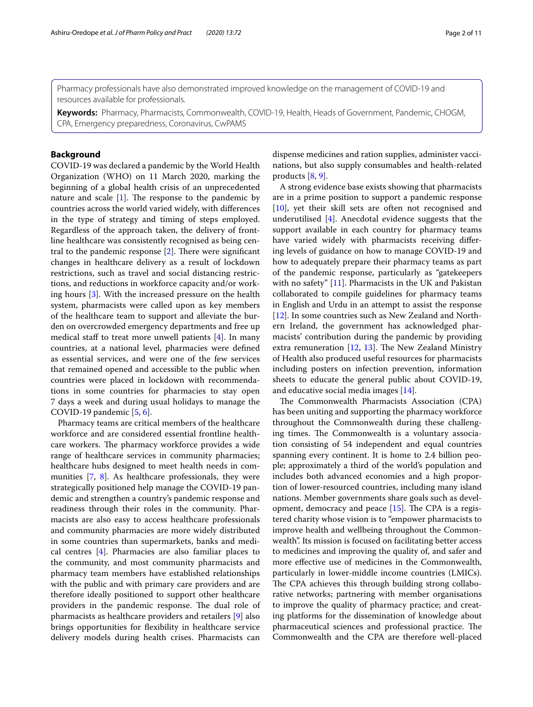Pharmacy professionals have also demonstrated improved knowledge on the management of COVID-19 and resources available for professionals.

**Keywords:** Pharmacy, Pharmacists, Commonwealth, COVID-19, Health, Heads of Government, Pandemic, CHOGM, CPA, Emergency preparedness, Coronavirus, CwPAMS

# **Background**

COVID-19 was declared a pandemic by the World Health Organization (WHO) on 11 March 2020, marking the beginning of a global health crisis of an unprecedented nature and scale  $[1]$  $[1]$ . The response to the pandemic by countries across the world varied widely, with diferences in the type of strategy and timing of steps employed. Regardless of the approach taken, the delivery of frontline healthcare was consistently recognised as being central to the pandemic response  $[2]$  $[2]$ . There were significant changes in healthcare delivery as a result of lockdown restrictions, such as travel and social distancing restrictions, and reductions in workforce capacity and/or working hours [\[3](#page-9-2)]. With the increased pressure on the health system, pharmacists were called upon as key members of the healthcare team to support and alleviate the burden on overcrowded emergency departments and free up medical staff to treat more unwell patients  $[4]$  $[4]$ . In many countries, at a national level, pharmacies were defned as essential services, and were one of the few services that remained opened and accessible to the public when countries were placed in lockdown with recommendations in some countries for pharmacies to stay open 7 days a week and during usual holidays to manage the COVID-19 pandemic [\[5](#page-9-4), [6\]](#page-9-5).

Pharmacy teams are critical members of the healthcare workforce and are considered essential frontline healthcare workers. The pharmacy workforce provides a wide range of healthcare services in community pharmacies; healthcare hubs designed to meet health needs in communities [\[7,](#page-9-6) [8\]](#page-9-7). As healthcare professionals, they were strategically positioned help manage the COVID-19 pandemic and strengthen a country's pandemic response and readiness through their roles in the community. Pharmacists are also easy to access healthcare professionals and community pharmacies are more widely distributed in some countries than supermarkets, banks and medical centres [\[4](#page-9-3)]. Pharmacies are also familiar places to the community, and most community pharmacists and pharmacy team members have established relationships with the public and with primary care providers and are therefore ideally positioned to support other healthcare providers in the pandemic response. The dual role of pharmacists as healthcare providers and retailers [[9\]](#page-10-0) also brings opportunities for fexibility in healthcare service delivery models during health crises. Pharmacists can

dispense medicines and ration supplies, administer vaccinations, but also supply consumables and health-related products [[8,](#page-9-7) [9](#page-10-0)].

A strong evidence base exists showing that pharmacists are in a prime position to support a pandemic response [[10\]](#page-10-1), yet their skill sets are often not recognised and underutilised [[4](#page-9-3)]. Anecdotal evidence suggests that the support available in each country for pharmacy teams have varied widely with pharmacists receiving difering levels of guidance on how to manage COVID-19 and how to adequately prepare their pharmacy teams as part of the pandemic response, particularly as "gatekeepers with no safety" [\[11](#page-10-2)]. Pharmacists in the UK and Pakistan collaborated to compile guidelines for pharmacy teams in English and Urdu in an attempt to assist the response [[12\]](#page-10-3). In some countries such as New Zealand and Northern Ireland, the government has acknowledged pharmacists' contribution during the pandemic by providing extra remuneration  $[12, 13]$  $[12, 13]$  $[12, 13]$ . The New Zealand Ministry of Health also produced useful resources for pharmacists including posters on infection prevention, information sheets to educate the general public about COVID-19, and educative social media images [\[14](#page-10-5)].

The Commonwealth Pharmacists Association (CPA) has been uniting and supporting the pharmacy workforce throughout the Commonwealth during these challenging times. The Commonwealth is a voluntary association consisting of 54 independent and equal countries spanning every continent. It is home to 2.4 billion people; approximately a third of the world's population and includes both advanced economies and a high proportion of lower-resourced countries, including many island nations. Member governments share goals such as development, democracy and peace  $[15]$  $[15]$  $[15]$ . The CPA is a registered charity whose vision is to "empower pharmacists to improve health and wellbeing throughout the Commonwealth". Its mission is focused on facilitating better access to medicines and improving the quality of, and safer and more efective use of medicines in the Commonwealth, particularly in lower-middle income countries (LMICs). The CPA achieves this through building strong collaborative networks; partnering with member organisations to improve the quality of pharmacy practice; and creating platforms for the dissemination of knowledge about pharmaceutical sciences and professional practice. The Commonwealth and the CPA are therefore well-placed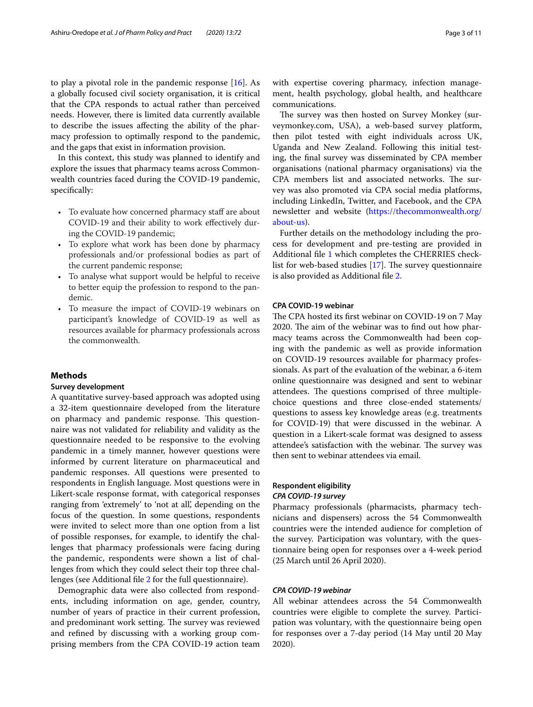to play a pivotal role in the pandemic response  $[16]$ . As a globally focused civil society organisation, it is critical that the CPA responds to actual rather than perceived needs. However, there is limited data currently available to describe the issues afecting the ability of the pharmacy profession to optimally respond to the pandemic, and the gaps that exist in information provision.

In this context, this study was planned to identify and explore the issues that pharmacy teams across Commonwealth countries faced during the COVID-19 pandemic, specifcally:

- To evaluate how concerned pharmacy staff are about COVID-19 and their ability to work efectively during the COVID-19 pandemic;
- To explore what work has been done by pharmacy professionals and/or professional bodies as part of the current pandemic response;
- To analyse what support would be helpful to receive to better equip the profession to respond to the pandemic.
- To measure the impact of COVID-19 webinars on participant's knowledge of COVID-19 as well as resources available for pharmacy professionals across the commonwealth.

# **Methods**

#### **Survey development**

A quantitative survey-based approach was adopted using a 32-item questionnaire developed from the literature on pharmacy and pandemic response. This questionnaire was not validated for reliability and validity as the questionnaire needed to be responsive to the evolving pandemic in a timely manner, however questions were informed by current literature on pharmaceutical and pandemic responses. All questions were presented to respondents in English language. Most questions were in Likert-scale response format, with categorical responses ranging from 'extremely' to 'not at all', depending on the focus of the question. In some questions, respondents were invited to select more than one option from a list of possible responses, for example, to identify the challenges that pharmacy professionals were facing during the pandemic, respondents were shown a list of challenges from which they could select their top three challenges (see Additional fle [2](#page-9-8) for the full questionnaire).

Demographic data were also collected from respondents, including information on age, gender, country, number of years of practice in their current profession, and predominant work setting. The survey was reviewed and refned by discussing with a working group comprising members from the CPA COVID-19 action team with expertise covering pharmacy, infection management, health psychology, global health, and healthcare communications.

The survey was then hosted on Survey Monkey (surveymonkey.com, USA), a web-based survey platform, then pilot tested with eight individuals across UK, Uganda and New Zealand. Following this initial testing, the fnal survey was disseminated by CPA member organisations (national pharmacy organisations) via the CPA members list and associated networks. The survey was also promoted via CPA social media platforms, including LinkedIn, Twitter, and Facebook, and the CPA newsletter and website [\(https://thecommonwealth.org/](https://thecommonwealth.org/about-us) [about-us\)](https://thecommonwealth.org/about-us).

Further details on the methodology including the process for development and pre-testing are provided in Additional fle [1](#page-9-9) which completes the CHERRIES checklist for web-based studies  $[17]$ . The survey questionnaire is also provided as Additional fle [2.](#page-9-8)

#### **CPA COVID‑19 webinar**

The CPA hosted its first webinar on COVID-19 on 7 May 2020. The aim of the webinar was to find out how pharmacy teams across the Commonwealth had been coping with the pandemic as well as provide information on COVID-19 resources available for pharmacy professionals. As part of the evaluation of the webinar, a 6-item online questionnaire was designed and sent to webinar attendees. The questions comprised of three multiplechoice questions and three close-ended statements/ questions to assess key knowledge areas (e.g. treatments for COVID-19) that were discussed in the webinar. A question in a Likert-scale format was designed to assess attendee's satisfaction with the webinar. The survey was then sent to webinar attendees via email.

# **Respondent eligibility**

# *CPA COVID‑19 survey*

Pharmacy professionals (pharmacists, pharmacy technicians and dispensers) across the 54 Commonwealth countries were the intended audience for completion of the survey. Participation was voluntary, with the questionnaire being open for responses over a 4-week period (25 March until 26 April 2020).

# *CPA COVID‑19 webinar*

All webinar attendees across the 54 Commonwealth countries were eligible to complete the survey. Participation was voluntary, with the questionnaire being open for responses over a 7-day period (14 May until 20 May 2020).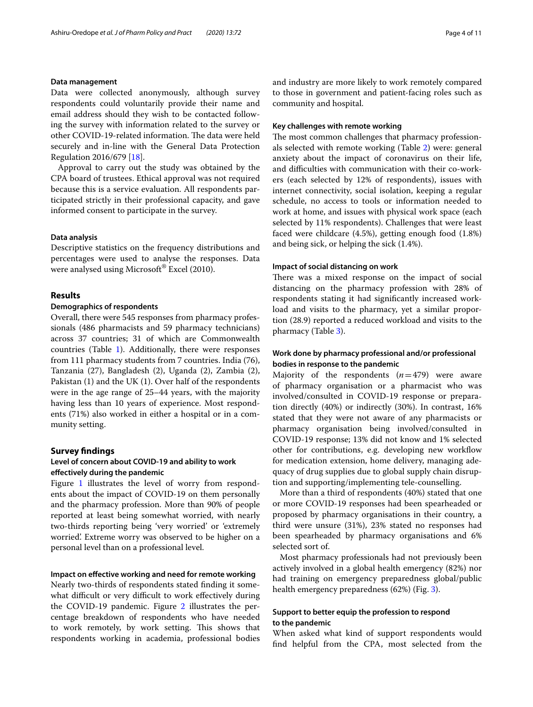#### **Data management**

Data were collected anonymously, although survey respondents could voluntarily provide their name and email address should they wish to be contacted following the survey with information related to the survey or other COVID-19-related information. The data were held securely and in-line with the General Data Protection Regulation 2016/679 [[18\]](#page-10-9).

Approval to carry out the study was obtained by the CPA board of trustees. Ethical approval was not required because this is a service evaluation. All respondents participated strictly in their professional capacity, and gave informed consent to participate in the survey.

#### **Data analysis**

Descriptive statistics on the frequency distributions and percentages were used to analyse the responses. Data were analysed using Microsoft<sup>®</sup> Excel (2010).

# **Results**

# **Demographics of respondents**

Overall, there were 545 responses from pharmacy professionals (486 pharmacists and 59 pharmacy technicians) across 37 countries; 31 of which are Commonwealth countries (Table [1](#page-4-0)). Additionally, there were responses from 111 pharmacy students from 7 countries. India (76), Tanzania (27), Bangladesh (2), Uganda (2), Zambia (2), Pakistan (1) and the UK (1). Over half of the respondents were in the age range of 25–44 years, with the majority having less than 10 years of experience. Most respondents (71%) also worked in either a hospital or in a community setting.

#### **Survey fndings**

# **Level of concern about COVID‑19 and ability to work efectively during the pandemic**

Figure [1](#page-5-0) illustrates the level of worry from respondents about the impact of COVID-19 on them personally and the pharmacy profession. More than 90% of people reported at least being somewhat worried, with nearly two-thirds reporting being 'very worried' or 'extremely worried'. Extreme worry was observed to be higher on a personal level than on a professional level.

# **Impact on efective working and need for remote working**

Nearly two-thirds of respondents stated fnding it somewhat difficult or very difficult to work effectively during the COVID-19 pandemic. Figure [2](#page-5-1) illustrates the percentage breakdown of respondents who have needed to work remotely, by work setting. This shows that respondents working in academia, professional bodies and industry are more likely to work remotely compared to those in government and patient-facing roles such as community and hospital.

#### **Key challenges with remote working**

The most common challenges that pharmacy professionals selected with remote working (Table [2\)](#page-5-2) were: general anxiety about the impact of coronavirus on their life, and difficulties with communication with their co-workers (each selected by 12% of respondents), issues with internet connectivity, social isolation, keeping a regular schedule, no access to tools or information needed to work at home, and issues with physical work space (each selected by 11% respondents). Challenges that were least faced were childcare (4.5%), getting enough food (1.8%) and being sick, or helping the sick (1.4%).

# **Impact of social distancing on work**

There was a mixed response on the impact of social distancing on the pharmacy profession with 28% of respondents stating it had signifcantly increased workload and visits to the pharmacy, yet a similar proportion (28.9) reported a reduced workload and visits to the pharmacy (Table [3\)](#page-6-0).

# **Work done by pharmacy professional and/or professional bodies in response to the pandemic**

Majority of the respondents (*n*=479) were aware of pharmacy organisation or a pharmacist who was involved/consulted in COVID-19 response or preparation directly (40%) or indirectly (30%). In contrast, 16% stated that they were not aware of any pharmacists or pharmacy organisation being involved/consulted in COVID-19 response; 13% did not know and 1% selected other for contributions, e.g. developing new workflow for medication extension, home delivery, managing adequacy of drug supplies due to global supply chain disruption and supporting/implementing tele-counselling.

More than a third of respondents (40%) stated that one or more COVID-19 responses had been spearheaded or proposed by pharmacy organisations in their country, a third were unsure (31%), 23% stated no responses had been spearheaded by pharmacy organisations and 6% selected sort of.

Most pharmacy professionals had not previously been actively involved in a global health emergency (82%) nor had training on emergency preparedness global/public health emergency preparedness (62%) (Fig. [3\)](#page-6-1).

# **Support to better equip the profession to respond to the pandemic**

When asked what kind of support respondents would fnd helpful from the CPA, most selected from the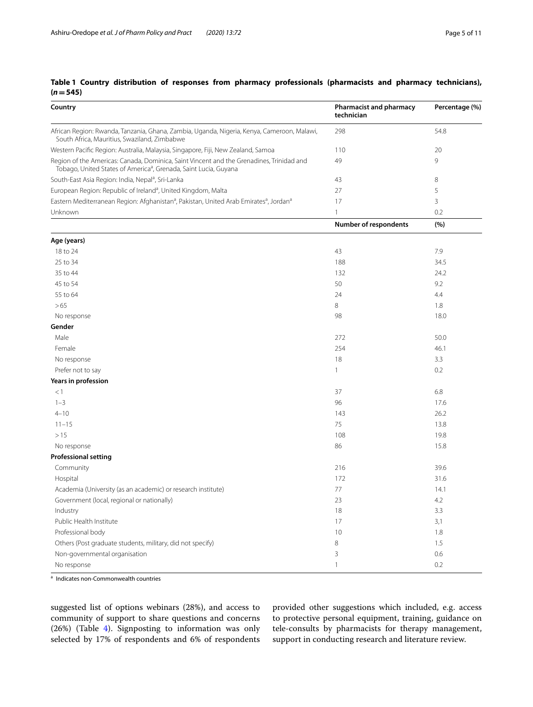# <span id="page-4-0"></span>**Table 1 Country distribution of responses from pharmacy professionals (pharmacists and pharmacy technicians), (***n***=545)**

| Country                                                                                                                                                                  | <b>Pharmacist and pharmacy</b><br>technician | Percentage (%) |
|--------------------------------------------------------------------------------------------------------------------------------------------------------------------------|----------------------------------------------|----------------|
| African Region: Rwanda, Tanzania, Ghana, Zambia, Uganda, Nigeria, Kenya, Cameroon, Malawi,<br>South Africa, Mauritius, Swaziland, Zimbabwe                               | 298                                          | 54.8           |
| Western Pacific Region: Australia, Malaysia, Singapore, Fiji, New Zealand, Samoa                                                                                         | 110                                          | 20             |
| Region of the Americas: Canada, Dominica, Saint Vincent and the Grenadines, Trinidad and<br>Tobago, United States of America <sup>a</sup> , Grenada, Saint Lucia, Guyana | 49                                           | 9              |
| South-East Asia Region: India, Nepal <sup>a</sup> , Sri-Lanka                                                                                                            | 43                                           | 8              |
| European Region: Republic of Ireland <sup>a</sup> , United Kingdom, Malta                                                                                                | 27                                           | 5              |
| Eastern Mediterranean Region: Afghanistan <sup>a</sup> , Pakistan, United Arab Emirates <sup>a</sup> , Jordan <sup>a</sup>                                               | 17                                           | 3              |
| Unknown                                                                                                                                                                  | $\,1\,$                                      | 0.2            |
|                                                                                                                                                                          | <b>Number of respondents</b>                 | (%)            |
| Age (years)                                                                                                                                                              |                                              |                |
| 18 to 24                                                                                                                                                                 | 43                                           | 7.9            |
| 25 to 34                                                                                                                                                                 | 188                                          | 34.5           |
| 35 to 44                                                                                                                                                                 | 132                                          | 24.2           |
| 45 to 54                                                                                                                                                                 | 50                                           | 9.2            |
| 55 to 64                                                                                                                                                                 | 24                                           | 4.4            |
| >65                                                                                                                                                                      | 8                                            | 1.8            |
| No response                                                                                                                                                              | 98                                           | 18.0           |
| Gender                                                                                                                                                                   |                                              |                |
| Male                                                                                                                                                                     | 272                                          | 50.0           |
| Female                                                                                                                                                                   | 254                                          | 46.1           |
| No response                                                                                                                                                              | 18                                           | 3.3            |
| Prefer not to say                                                                                                                                                        | 1                                            | 0.2            |
| Years in profession                                                                                                                                                      |                                              |                |
| <1                                                                                                                                                                       | 37                                           | 6.8            |
| $1 - 3$                                                                                                                                                                  | 96                                           | 17.6           |
| $4 - 10$                                                                                                                                                                 | 143                                          | 26.2           |
| $11 - 15$                                                                                                                                                                | 75                                           | 13.8           |
| >15                                                                                                                                                                      | 108                                          | 19.8           |
| No response                                                                                                                                                              | 86                                           | 15.8           |
| <b>Professional setting</b>                                                                                                                                              |                                              |                |
| Community                                                                                                                                                                | 216                                          | 39.6           |
| Hospital                                                                                                                                                                 | 172                                          | 31.6           |
| Academia (University (as an academic) or research institute)                                                                                                             | 77                                           | 14.1           |
| Government (local, regional or nationally)                                                                                                                               | 23                                           | 4.2            |
| Industry                                                                                                                                                                 | 18                                           | 3.3            |
| Public Health Institute                                                                                                                                                  | 17                                           | 3,1            |
| Professional body                                                                                                                                                        | 10                                           | 1.8            |
| Others (Post graduate students, military, did not specify)                                                                                                               | 8                                            | 1.5            |
| Non-governmental organisation                                                                                                                                            | 3                                            | 0.6            |
| No response                                                                                                                                                              | $\mathbf{1}$                                 | 0.2            |

<sup>a</sup> Indicates non-Commonwealth countries

suggested list of options webinars (28%), and access to community of support to share questions and concerns (26%) (Table [4\)](#page-6-2). Signposting to information was only selected by 17% of respondents and 6% of respondents provided other suggestions which included, e.g. access to protective personal equipment, training, guidance on tele-consults by pharmacists for therapy management, support in conducting research and literature review.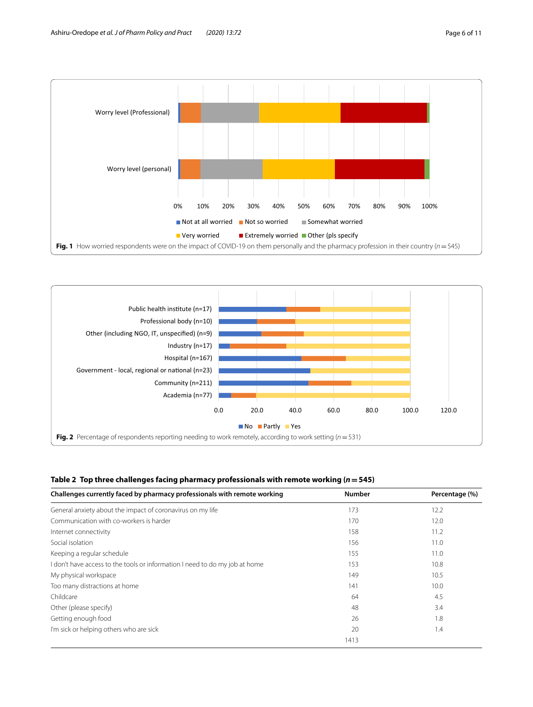

<span id="page-5-0"></span>

<span id="page-5-2"></span><span id="page-5-1"></span>

| Table 2 $\overline{$ Top three challenges facing pharmacy professionals with remote working ( $n$ $=$ 545) |  |
|------------------------------------------------------------------------------------------------------------|--|
|------------------------------------------------------------------------------------------------------------|--|

| Challenges currently faced by pharmacy professionals with remote working    | <b>Number</b> | Percentage (%) |
|-----------------------------------------------------------------------------|---------------|----------------|
| General anxiety about the impact of coronavirus on my life                  | 173           | 12.2           |
| Communication with co-workers is harder                                     | 170           | 12.0           |
| Internet connectivity                                                       | 158           | 11.2           |
| Social isolation                                                            | 156           | 11.0           |
| Keeping a regular schedule                                                  | 155           | 11.0           |
| I don't have access to the tools or information I need to do my job at home | 153           | 10.8           |
| My physical workspace                                                       | 149           | 10.5           |
| Too many distractions at home                                               | 141           | 10.0           |
| Childcare                                                                   | 64            | 4.5            |
| Other (please specify)                                                      | 48            | 3.4            |
| Getting enough food                                                         | 26            | 1.8            |
| I'm sick or helping others who are sick                                     | 20            | 1.4            |
|                                                                             | 1413          |                |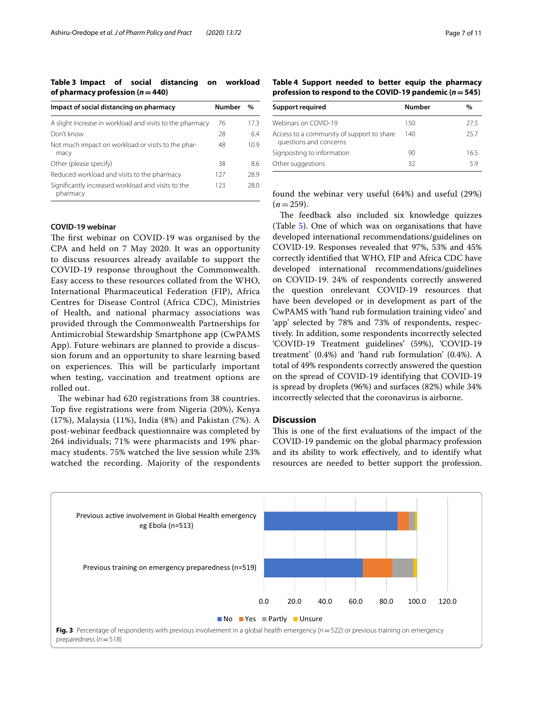<span id="page-6-0"></span>**Table 3 Impact of social distancing on workload of pharmacy profession (***n***=440)**

| Impact of social distancing on pharmacy                        | Number | $\frac{0}{0}$ |
|----------------------------------------------------------------|--------|---------------|
| A slight increase in workload and visits to the pharmacy       | 76     | 17.3          |
| Don't know                                                     | 28     | 64            |
| Not much impact on workload or visits to the phar-<br>macy     | 48     | 10.9          |
| Other (please specify)                                         | 38     | 8.6           |
| Reduced workload and visits to the pharmacy                    | 127    | 28.9          |
| Significantly increased workload and visits to the<br>pharmacy | 123    | 28 O          |

# **COVID‑19 webinar**

The first webinar on COVID-19 was organised by the CPA and held on 7 May 2020. It was an opportunity to discuss resources already available to support the COVID-19 response throughout the Commonwealth. Easy access to these resources collated from the WHO, International Pharmaceutical Federation (FIP), Africa Centres for Disease Control (Africa CDC), Ministries of Health, and national pharmacy associations was provided through the Commonwealth Partnerships for Antimicrobial Stewardship Smartphone app (CwPAMS App). Future webinars are planned to provide a discussion forum and an opportunity to share learning based on experiences. This will be particularly important when testing, vaccination and treatment options are rolled out.

The webinar had 620 registrations from 38 countries. Top fve registrations were from Nigeria (20%), Kenya (17%), Malaysia (11%), India (8%) and Pakistan (7%). A post-webinar feedback questionnaire was completed by 264 individuals; 71% were pharmacists and 19% pharmacy students. 75% watched the live session while 23% watched the recording. Majority of the respondents

<span id="page-6-2"></span>**Table 4 Support needed to better equip the pharmacy profession to respond to the COVID-19 pandemic (***n***=545)**

| Support required                                                    | Number | %    |
|---------------------------------------------------------------------|--------|------|
| Webinars on COVID-19                                                | 150    | 275  |
| Access to a community of support to share<br>questions and concerns | 140    | 25.7 |
| Signposting to information                                          | 90     | 165  |
| Other suggestions                                                   | 32     | 59   |

found the webinar very useful (64%) and useful (29%)  $(n=259)$ .

The feedback also included six knowledge quizzes (Table [5\)](#page-7-0). One of which was on organisations that have developed international recommendations/guidelines on COVID-19. Responses revealed that 97%, 53% and 45% correctly identifed that WHO, FIP and Africa CDC have developed international recommendations/guidelines on COVID-19. 24% of respondents correctly answered the question onrelevant COVID-19 resources that have been developed or in development as part of the CwPAMS with 'hand rub formulation training video' and 'app' selected by 78% and 73% of respondents, respectively. In addition, some respondents incorrectly selected 'COVID-19 Treatment guidelines' (59%), 'COVID-19 treatment' (0.4%) and 'hand rub formulation' (0.4%). A total of 49% respondents correctly answered the question on the spread of COVID-19 identifying that COVID-19 is spread by droplets (96%) and surfaces (82%) while 34% incorrectly selected that the coronavirus is airborne.

#### **Discussion**

This is one of the first evaluations of the impact of the COVID-19 pandemic on the global pharmacy profession and its ability to work efectively, and to identify what resources are needed to better support the profession.

<span id="page-6-1"></span>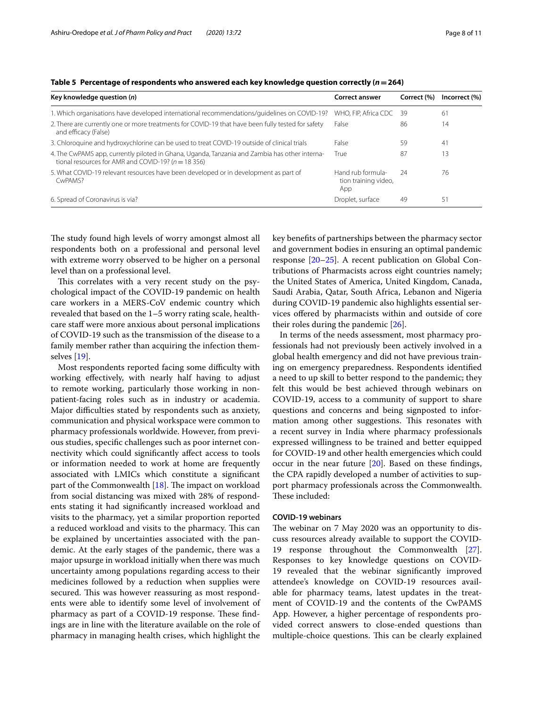| Key knowledge question (n)                                                                                                                              | <b>Correct answer</b>                            | Correct (%) | Incorrect (%) |
|---------------------------------------------------------------------------------------------------------------------------------------------------------|--------------------------------------------------|-------------|---------------|
| 1. Which organisations have developed international recommendations/guidelines on COVID-19?                                                             | WHO, FIP, Africa CDC                             | -39         | 61            |
| 2. There are currently one or more treatments for COVID-19 that have been fully tested for safety<br>and efficacy (False)                               | False                                            | 86          | 14            |
| 3. Chloroquine and hydroxychlorine can be used to treat COVID-19 outside of clinical trials                                                             | False                                            | 59          | 41            |
| 4. The CwPAMS app, currently piloted in Ghana, Uganda, Tanzania and Zambia has other interna-<br>tional resources for AMR and COVID-19? ( $n = 18356$ ) | True                                             | 87          | 13            |
| 5. What COVID-19 relevant resources have been developed or in development as part of<br>CwPAMS?                                                         | Hand rub formula-<br>tion training video,<br>App | 24          | 76            |
| 6. Spread of Coronavirus is via?                                                                                                                        | Droplet, surface                                 | 49          | 51            |

<span id="page-7-0"></span>**Table 5 Percentage of respondents who answered each key knowledge question correctly (***n***=264)**

The study found high levels of worry amongst almost all respondents both on a professional and personal level with extreme worry observed to be higher on a personal level than on a professional level.

This correlates with a very recent study on the psychological impact of the COVID-19 pandemic on health care workers in a MERS-CoV endemic country which revealed that based on the 1–5 worry rating scale, healthcare staff were more anxious about personal implications of COVID-19 such as the transmission of the disease to a family member rather than acquiring the infection themselves [[19\]](#page-10-10).

Most respondents reported facing some difficulty with working efectively, with nearly half having to adjust to remote working, particularly those working in nonpatient-facing roles such as in industry or academia. Major difficulties stated by respondents such as anxiety, communication and physical workspace were common to pharmacy professionals worldwide. However, from previous studies, specifc challenges such as poor internet connectivity which could signifcantly afect access to tools or information needed to work at home are frequently associated with LMICs which constitute a signifcant part of the Commonwealth  $[18]$  $[18]$ . The impact on workload from social distancing was mixed with 28% of respondents stating it had signifcantly increased workload and visits to the pharmacy, yet a similar proportion reported a reduced workload and visits to the pharmacy. This can be explained by uncertainties associated with the pandemic. At the early stages of the pandemic, there was a major upsurge in workload initially when there was much uncertainty among populations regarding access to their medicines followed by a reduction when supplies were secured. This was however reassuring as most respondents were able to identify some level of involvement of pharmacy as part of a COVID-19 response. These findings are in line with the literature available on the role of pharmacy in managing health crises, which highlight the key benefts of partnerships between the pharmacy sector and government bodies in ensuring an optimal pandemic response [[20–](#page-10-11)[25\]](#page-10-12). A recent publication on Global Contributions of Pharmacists across eight countries namely; the United States of America, United Kingdom, Canada, Saudi Arabia, Qatar, South Africa, Lebanon and Nigeria during COVID-19 pandemic also highlights essential services ofered by pharmacists within and outside of core their roles during the pandemic  $[26]$ .

In terms of the needs assessment, most pharmacy professionals had not previously been actively involved in a global health emergency and did not have previous training on emergency preparedness. Respondents identifed a need to up skill to better respond to the pandemic; they felt this would be best achieved through webinars on COVID-19, access to a community of support to share questions and concerns and being signposted to information among other suggestions. This resonates with a recent survey in India where pharmacy professionals expressed willingness to be trained and better equipped for COVID-19 and other health emergencies which could occur in the near future  $[20]$  $[20]$  $[20]$ . Based on these findings, the CPA rapidly developed a number of activities to support pharmacy professionals across the Commonwealth. These included:

# **COVID‑19 webinars**

The webinar on 7 May 2020 was an opportunity to discuss resources already available to support the COVID-19 response throughout the Commonwealth [\[27](#page-10-14)]. Responses to key knowledge questions on COVID-19 revealed that the webinar signifcantly improved attendee's knowledge on COVID-19 resources available for pharmacy teams, latest updates in the treatment of COVID-19 and the contents of the CwPAMS App. However, a higher percentage of respondents provided correct answers to close-ended questions than multiple-choice questions. This can be clearly explained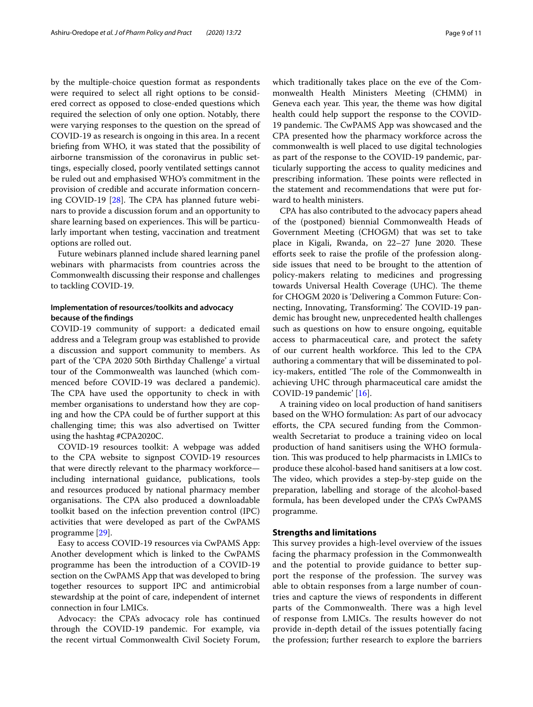by the multiple-choice question format as respondents were required to select all right options to be considered correct as opposed to close-ended questions which required the selection of only one option. Notably, there were varying responses to the question on the spread of COVID-19 as research is ongoing in this area. In a recent briefng from WHO, it was stated that the possibility of airborne transmission of the coronavirus in public settings, especially closed, poorly ventilated settings cannot be ruled out and emphasised WHO's commitment in the provision of credible and accurate information concerning COVID-19  $[28]$ . The CPA has planned future webinars to provide a discussion forum and an opportunity to share learning based on experiences. This will be particularly important when testing, vaccination and treatment options are rolled out.

Future webinars planned include shared learning panel webinars with pharmacists from countries across the Commonwealth discussing their response and challenges to tackling COVID-19.

# **Implementation of resources/toolkits and advocacy because of the fndings**

COVID-19 community of support: a dedicated email address and a Telegram group was established to provide a discussion and support community to members. As part of the 'CPA 2020 50th Birthday Challenge' a virtual tour of the Commonwealth was launched (which commenced before COVID-19 was declared a pandemic). The CPA have used the opportunity to check in with member organisations to understand how they are coping and how the CPA could be of further support at this challenging time; this was also advertised on Twitter using the hashtag #CPA2020C.

COVID-19 resources toolkit: A webpage was added to the CPA website to signpost COVID-19 resources that were directly relevant to the pharmacy workforce including international guidance, publications, tools and resources produced by national pharmacy member organisations. The CPA also produced a downloadable toolkit based on the infection prevention control (IPC) activities that were developed as part of the CwPAMS programme [\[29](#page-10-16)].

Easy to access COVID-19 resources via CwPAMS App: Another development which is linked to the CwPAMS programme has been the introduction of a COVID-19 section on the CwPAMS App that was developed to bring together resources to support IPC and antimicrobial stewardship at the point of care, independent of internet connection in four LMICs.

Advocacy: the CPA's advocacy role has continued through the COVID-19 pandemic. For example, via the recent virtual Commonwealth Civil Society Forum, which traditionally takes place on the eve of the Commonwealth Health Ministers Meeting (CHMM) in Geneva each year. This year, the theme was how digital health could help support the response to the COVID-19 pandemic. The CwPAMS App was showcased and the CPA presented how the pharmacy workforce across the commonwealth is well placed to use digital technologies as part of the response to the COVID-19 pandemic, particularly supporting the access to quality medicines and prescribing information. These points were reflected in the statement and recommendations that were put forward to health ministers.

CPA has also contributed to the advocacy papers ahead of the (postponed) biennial Commonwealth Heads of Government Meeting (CHOGM) that was set to take place in Kigali, Rwanda, on 22-27 June 2020. These eforts seek to raise the profle of the profession alongside issues that need to be brought to the attention of policy-makers relating to medicines and progressing towards Universal Health Coverage (UHC). The theme for CHOGM 2020 is 'Delivering a Common Future: Connecting, Innovating, Transforming'. The COVID-19 pandemic has brought new, unprecedented health challenges such as questions on how to ensure ongoing, equitable access to pharmaceutical care, and protect the safety of our current health workforce. This led to the CPA authoring a commentary that will be disseminated to policy-makers, entitled 'The role of the Commonwealth in achieving UHC through pharmaceutical care amidst the COVID-19 pandemic' [\[16](#page-10-7)].

A training video on local production of hand sanitisers based on the WHO formulation: As part of our advocacy eforts, the CPA secured funding from the Commonwealth Secretariat to produce a training video on local production of hand sanitisers using the WHO formulation. This was produced to help pharmacists in LMICs to produce these alcohol-based hand sanitisers at a low cost. The video, which provides a step-by-step guide on the preparation, labelling and storage of the alcohol-based formula, has been developed under the CPA's CwPAMS programme.

# **Strengths and limitations**

This survey provides a high-level overview of the issues facing the pharmacy profession in the Commonwealth and the potential to provide guidance to better support the response of the profession. The survey was able to obtain responses from a large number of countries and capture the views of respondents in diferent parts of the Commonwealth. There was a high level of response from LMICs. The results however do not provide in-depth detail of the issues potentially facing the profession; further research to explore the barriers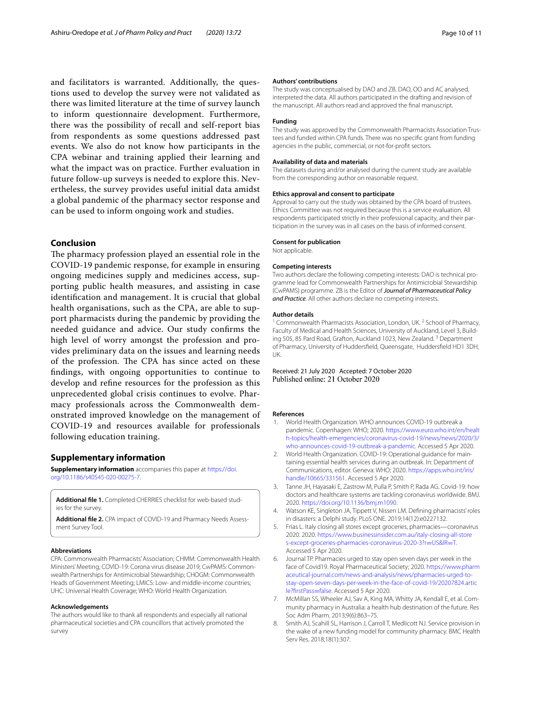and facilitators is warranted. Additionally, the questions used to develop the survey were not validated as there was limited literature at the time of survey launch to inform questionnaire development. Furthermore, there was the possibility of recall and self-report bias from respondents as some questions addressed past events. We also do not know how participants in the CPA webinar and training applied their learning and what the impact was on practice. Further evaluation in future follow-up surveys is needed to explore this. Nevertheless, the survey provides useful initial data amidst a global pandemic of the pharmacy sector response and can be used to inform ongoing work and studies.

# **Conclusion**

The pharmacy profession played an essential role in the COVID-19 pandemic response, for example in ensuring ongoing medicines supply and medicines access, supporting public health measures, and assisting in case identifcation and management. It is crucial that global health organisations, such as the CPA, are able to support pharmacists during the pandemic by providing the needed guidance and advice. Our study confrms the high level of worry amongst the profession and provides preliminary data on the issues and learning needs of the profession. The CPA has since acted on these fndings, with ongoing opportunities to continue to develop and refne resources for the profession as this unprecedented global crisis continues to evolve. Pharmacy professionals across the Commonwealth demonstrated improved knowledge on the management of COVID-19 and resources available for professionals following education training.

# **Supplementary information**

**Supplementary information** accompanies this paper at [https://doi.](https://doi.org/10.1186/s40545-020-00275-7) [org/10.1186/s40545-020-00275-7](https://doi.org/10.1186/s40545-020-00275-7).

<span id="page-9-9"></span><span id="page-9-8"></span>Additional file 1. Completed CHERRIES checklist for web-based studies for the survey.

**Additional fle 2.** CPA impact of COVID-19 and Pharmacy Needs Assess‑ ment Survey Tool.

#### **Abbreviations**

CPA: Commonwealth Pharmacists' Association; CHMM: Commonwealth Health Ministers' Meeting; COVID-19: Corona virus disease 2019; CwPAMS: Commonwealth Partnerships for Antimicrobial Stewardship; CHOGM: Commonwealth Heads of Government Meeting; LMICS: Low- and middle-income countries; UHC: Universal Health Coverage; WHO: World Health Organization.

#### **Acknowledgements**

The authors would like to thank all respondents and especially all national pharmaceutical societies and CPA councillors that actively promoted the survey

#### **Authors' contributions**

The study was conceptualised by DAO and ZB. DAO, OO and AC analysed, interpreted the data. All authors participated in the drafting and revision of the manuscript. All authors read and approved the fnal manuscript.

#### **Funding**

The study was approved by the Commonwealth Pharmacists Association Trustees and funded within CPA funds. There was no specifc grant from funding agencies in the public, commercial, or not-for-proft sectors.

#### **Availability of data and materials**

The datasets during and/or analysed during the current study are available from the corresponding author on reasonable request.

#### **Ethics approval and consent to participate**

Approval to carry out the study was obtained by the CPA board of trustees. Ethics Committee was not required because this is a service evaluation. All respondents participated strictly in their professional capacity, and their participation in the survey was in all cases on the basis of informed consent.

#### **Consent for publication**

Not applicable.

#### **Competing interests**

Two authors declare the following competing interests: DAO is technical programme lead for Commonwealth Partnerships for Antimicrobial Stewardship (CwPAMS) programme. ZB is the Editor of *Journal of Pharmaceutical Policy and Practice*. All other authors declare no competing interests.

#### **Author details**

<sup>1</sup> Commonwealth Pharmacists Association, London, UK.<sup>2</sup> School of Pharmacy, Faculty of Medical and Health Sciences, University of Auckland, Level 3, Building 505, 85 Pard Road, Grafton, Auckland 1023, New Zealand.<sup>3</sup> Department of Pharmacy, University of Huddersfeld, Queensgate, Huddersfeld HD1 3DH, UK.

Received: 21 July 2020 Accepted: 7 October 2020<br>Published online: 21 October 2020

#### **References**

- <span id="page-9-0"></span>1. World Health Organization. WHO announces COVID-19 outbreak a pandemic. Copenhagen: WHO; 2020. [https://www.euro.who.int/en/healt](http://www.euro.who.int/en/health-topics/health-emergencies/coronavirus-covid-19/news/news/2020/3/who-announces-covid-19-outbreak-a-pandemic) [h-topics/health-emergencies/coronavirus-covid-19/news/news/2020/3/](http://www.euro.who.int/en/health-topics/health-emergencies/coronavirus-covid-19/news/news/2020/3/who-announces-covid-19-outbreak-a-pandemic) [who-announces-covid-19-outbreak-a-pandemic](http://www.euro.who.int/en/health-topics/health-emergencies/coronavirus-covid-19/news/news/2020/3/who-announces-covid-19-outbreak-a-pandemic). Accessed 5 Apr 2020.
- <span id="page-9-1"></span>2. World Health Organization. COVID-19: Operational guidance for maintaining essential health services during an outbreak. In: Department of Communications, editor. Geneva: WHO; 2020. [https://apps.who.int/iris/](https://apps.who.int/iris/handle/10665/331561) [handle/10665/331561](https://apps.who.int/iris/handle/10665/331561). Accessed 5 Apr 2020.
- <span id="page-9-2"></span>3. Tanne JH, Hayasaki E, Zastrow M, Pulla P, Smith P, Rada AG. Covid-19: how doctors and healthcare systems are tackling coronavirus worldwide. BMJ. 2020.<https://doi.org/10.1136/bmj.m1090>.
- <span id="page-9-3"></span>4. Watson KE, Singleton JA, Tippett V, Nissen LM. Defning pharmacists' roles in disasters: a Delphi study. PLoS ONE. 2019;14(12):e0227132.
- <span id="page-9-4"></span>5. Frias L. Italy closing all stores except groceries, pharmacies—coronavirus 2020. 2020. [https://www.businessinsider.com.au/italy-closing-all-store](https://www.businessinsider.com.au/italy-closing-all-stores-except-groceries-pharmacies-coronavirus-2020-3?r=US&IR=T) [s-except-groceries-pharmacies-coronavirus-2020-3?r](https://www.businessinsider.com.au/italy-closing-all-stores-except-groceries-pharmacies-coronavirus-2020-3?r=US&IR=T)=US&IR=T. Accessed 5 Apr 2020.
- <span id="page-9-5"></span>6. Journal TP. Pharmacies urged to stay open seven days per week in the face of Covid19. Royal Pharmaceutical Society; 2020. [https://www.pharm](https://www.pharmaceutical-journal.com/news-and-analysis/news/pharmacies-urged-to-stay-open-seven-days-per-week-in-the-face-of-covid-19/20207824.article?firstPass=false) [aceutical-journal.com/news-and-analysis/news/pharmacies-urged-to](https://www.pharmaceutical-journal.com/news-and-analysis/news/pharmacies-urged-to-stay-open-seven-days-per-week-in-the-face-of-covid-19/20207824.article?firstPass=false)[stay-open-seven-days-per-week-in-the-face-of-covid-19/20207824.artic](https://www.pharmaceutical-journal.com/news-and-analysis/news/pharmacies-urged-to-stay-open-seven-days-per-week-in-the-face-of-covid-19/20207824.article?firstPass=false) [le?frstPass](https://www.pharmaceutical-journal.com/news-and-analysis/news/pharmacies-urged-to-stay-open-seven-days-per-week-in-the-face-of-covid-19/20207824.article?firstPass=false)=false. Accessed 5 Apr 2020.
- <span id="page-9-6"></span>7. McMillan SS, Wheeler AJ, Sav A, King MA, Whitty JA, Kendall E, et al. Community pharmacy in Australia: a health hub destination of the future. Res Soc Adm Pharm. 2013;9(6):863–75.
- <span id="page-9-7"></span>8. Smith AJ, Scahill SL, Harrison J, Carroll T, Medlicott NJ. Service provision in the wake of a new funding model for community pharmacy. BMC Health Serv Res. 2018;18(1):307.